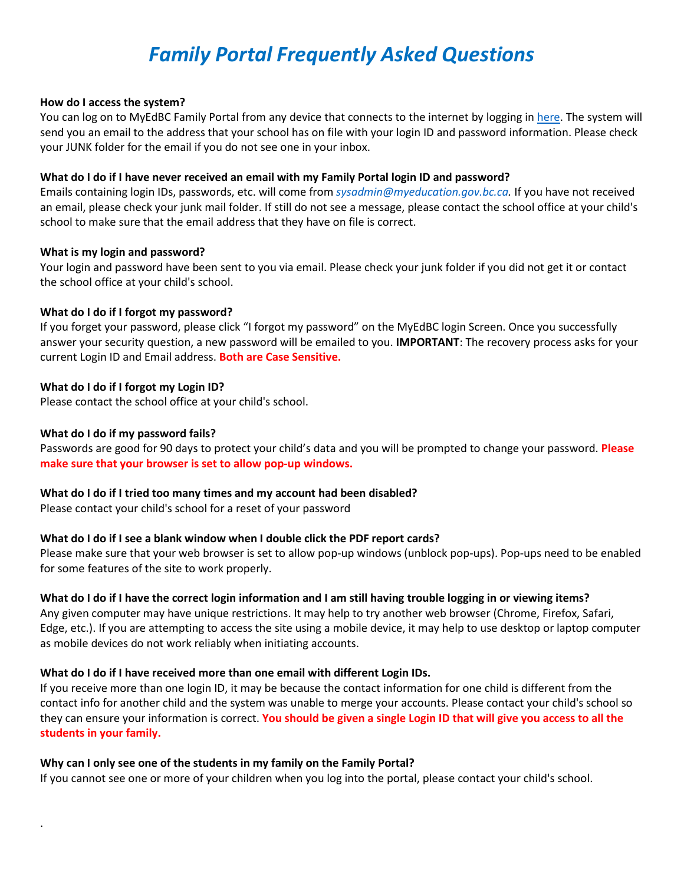# *Family Portal Frequently Asked Questions*

## **How do I access the system?**

You can log on to MyEdBC Family Portal from any device that connects to the internet by logging in [here.](https://myeducation.gov.bc.ca/aspen/logon.do) The system will send you an email to the address that your school has on file with your login ID and password information. Please check your JUNK folder for the email if you do not see one in your inbox.

## **What do I do if I have never received an email with my Family Portal login ID and password?**

Emails containing login IDs, passwords, etc. will come from *sysadmin@myeducation.gov.bc.ca.* If you have not received an email, please check your junk mail folder. If still do not see a message, please contact the school office at your child's school to make sure that the email address that they have on file is correct.

# **What is my login and password?**

Your login and password have been sent to you via email. Please check your junk folder if you did not get it or contact the school office at your child's school.

## **What do I do if I forgot my password?**

If you forget your password, please click "I forgot my password" on the MyEdBC login Screen. Once you successfully answer your security question, a new password will be emailed to you. **IMPORTANT**: The recovery process asks for your current Login ID and Email address. **Both are Case Sensitive.** 

# **What do I do if I forgot my Login ID?**

Please contact the school office at your child's school.

## **What do I do if my password fails?**

.

Passwords are good for 90 days to protect your child's data and you will be prompted to change your password. **Please make sure that your browser is set to allow pop-up windows.** 

#### **What do I do if I tried too many times and my account had been disabled?**

Please contact your child's school for a reset of your password

# **What do I do if I see a blank window when I double click the PDF report cards?**

Please make sure that your web browser is set to allow pop-up windows (unblock pop-ups). Pop-ups need to be enabled for some features of the site to work properly.

# **What do I do if I have the correct login information and I am still having trouble logging in or viewing items?**

Any given computer may have unique restrictions. It may help to try another web browser (Chrome, Firefox, Safari, Edge, etc.). If you are attempting to access the site using a mobile device, it may help to use desktop or laptop computer as mobile devices do not work reliably when initiating accounts.

# **What do I do if I have received more than one email with different Login IDs.**

If you receive more than one login ID, it may be because the contact information for one child is different from the contact info for another child and the system was unable to merge your accounts. Please contact your child's school so they can ensure your information is correct. **You should be given a single Login ID that will give you access to all the students in your family.** 

#### **Why can I only see one of the students in my family on the Family Portal?**

If you cannot see one or more of your children when you log into the portal, please contact your child's school.